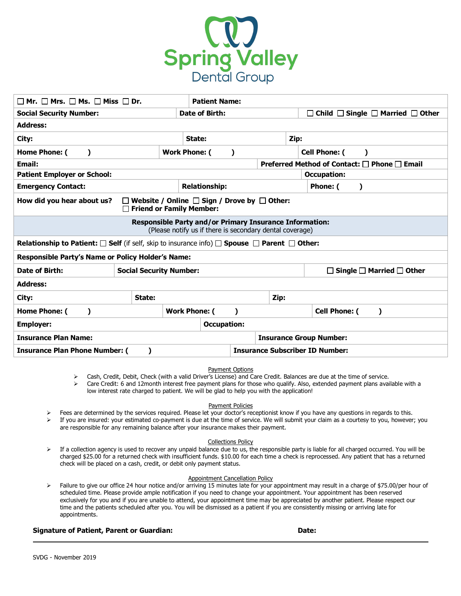

| $\Box$ Mr. $\Box$ Mrs. $\Box$ Ms. $\Box$ Miss $\Box$ Dr.                                                                            | <b>Patient Name:</b>           |                      |                                   |                      |                                        |                                                        |                                      |  |
|-------------------------------------------------------------------------------------------------------------------------------------|--------------------------------|----------------------|-----------------------------------|----------------------|----------------------------------------|--------------------------------------------------------|--------------------------------------|--|
| <b>Social Security Number:</b>                                                                                                      |                                |                      | Date of Birth:                    |                      |                                        | $\Box$ Child $\Box$ Single $\Box$ Married $\Box$ Other |                                      |  |
| <b>Address:</b>                                                                                                                     |                                |                      |                                   |                      |                                        |                                                        |                                      |  |
| City:                                                                                                                               |                                |                      | State:                            |                      |                                        | Zip:                                                   |                                      |  |
| Home Phone: (<br>$\mathbf{I}$                                                                                                       |                                |                      | <b>Work Phone: (</b><br>$\lambda$ |                      |                                        | <b>Cell Phone: (</b><br>$\lambda$                      |                                      |  |
| Preferred Method of Contact: □ Phone □ Email<br><b>Email:</b>                                                                       |                                |                      |                                   |                      |                                        |                                                        |                                      |  |
| <b>Patient Employer or School:</b>                                                                                                  |                                |                      |                                   |                      | <b>Occupation:</b>                     |                                                        |                                      |  |
| <b>Emergency Contact:</b>                                                                                                           |                                |                      |                                   | <b>Relationship:</b> |                                        |                                                        | Phone: (<br>$\lambda$                |  |
| How did you hear about us?<br>$\Box$ Website / Online $\Box$ Sign / Drove by $\Box$ Other:<br>$\Box$ Friend or Family Member:       |                                |                      |                                   |                      |                                        |                                                        |                                      |  |
| <b>Responsible Party and/or Primary Insurance Information:</b><br>(Please notify us if there is secondary dental coverage)          |                                |                      |                                   |                      |                                        |                                                        |                                      |  |
| <b>Relationship to Patient:</b> $\square$ Self (if self, skip to insurance info) $\square$ Spouse $\square$ Parent $\square$ Other: |                                |                      |                                   |                      |                                        |                                                        |                                      |  |
| Responsible Party's Name or Policy Holder's Name:                                                                                   |                                |                      |                                   |                      |                                        |                                                        |                                      |  |
| Date of Birth:                                                                                                                      | <b>Social Security Number:</b> |                      |                                   |                      |                                        |                                                        | Single $\Box$ Married $\Box$ Other   |  |
| <b>Address:</b>                                                                                                                     |                                |                      |                                   |                      |                                        |                                                        |                                      |  |
| City:                                                                                                                               | State:                         |                      |                                   |                      | Zip:                                   |                                                        |                                      |  |
| Home Phone: (<br>$\lambda$                                                                                                          |                                | <b>Work Phone: (</b> |                                   | $\lambda$            |                                        |                                                        | <b>Cell Phone: (</b><br>$\mathbf{I}$ |  |
| <b>Employer:</b>                                                                                                                    |                                |                      | <b>Occupation:</b>                |                      |                                        |                                                        |                                      |  |
| <b>Insurance Plan Name:</b>                                                                                                         |                                |                      |                                   |                      | <b>Insurance Group Number:</b>         |                                                        |                                      |  |
| <b>Insurance Plan Phone Number: (</b><br>)                                                                                          |                                |                      |                                   |                      | <b>Insurance Subscriber ID Number:</b> |                                                        |                                      |  |

## Payment Options

Ø Cash, Credit, Debit, Check (with a valid Driver's License) and Care Credit. Balances are due at the time of service.

 $\triangleright$  Care Credit: 6 and 12month interest free payment plans for those who qualify. Also, extended payment plans available with a low interest rate charged to patient. We will be glad to help you with the application!

Payment Policies

- Fees are determined by the services required. Please let your doctor's receptionist know if you have any questions in regards to this.
- Ø If you are insured: your estimated co-payment is due at the time of service. We will submit your claim as a courtesy to you, however; you are responsible for any remaining balance after your insurance makes their payment.

### Collections Policy

 $\triangleright$  If a collection agency is used to recover any unpaid balance due to us, the responsible party is liable for all charged occurred. You will be charged \$25.00 for a returned check with insufficient funds. \$10.00 for each time a check is reprocessed. Any patient that has a returned check will be placed on a cash, credit, or debit only payment status.

### Appointment Cancellation Policy

Ø Failure to give our office 24 hour notice and/or arriving 15 minutes late for your appointment may result in a charge of \$75.00/per hour of scheduled time. Please provide ample notification if you need to change your appointment. Your appointment has been reserved exclusively for you and if you are unable to attend, your appointment time may be appreciated by another patient. Please respect our time and the patients scheduled after you. You will be dismissed as a patient if you are consistently missing or arriving late for appointments.

## **Signature of Patient, Parent or Guardian: Date:**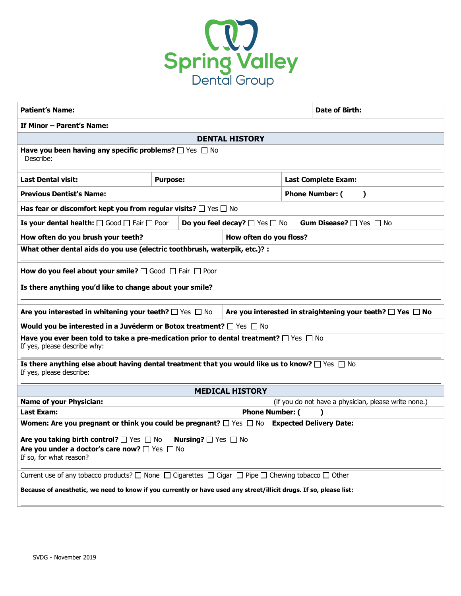

| <b>Patient's Name:</b>                                                                                                                                                                                                                                                                                                                                                                                                                                                                                                                                                                                                                       |                                                                                                                     |  |                        |                                          | Date of Birth:                                       |  |  |
|----------------------------------------------------------------------------------------------------------------------------------------------------------------------------------------------------------------------------------------------------------------------------------------------------------------------------------------------------------------------------------------------------------------------------------------------------------------------------------------------------------------------------------------------------------------------------------------------------------------------------------------------|---------------------------------------------------------------------------------------------------------------------|--|------------------------|------------------------------------------|------------------------------------------------------|--|--|
| If Minor - Parent's Name:                                                                                                                                                                                                                                                                                                                                                                                                                                                                                                                                                                                                                    |                                                                                                                     |  |                        |                                          |                                                      |  |  |
| <b>DENTAL HISTORY</b>                                                                                                                                                                                                                                                                                                                                                                                                                                                                                                                                                                                                                        |                                                                                                                     |  |                        |                                          |                                                      |  |  |
| Have you been having any specific problems? $\Box$ Yes $\Box$ No<br>Describe:                                                                                                                                                                                                                                                                                                                                                                                                                                                                                                                                                                |                                                                                                                     |  |                        |                                          |                                                      |  |  |
| <b>Last Dental visit:</b>                                                                                                                                                                                                                                                                                                                                                                                                                                                                                                                                                                                                                    | <b>Purpose:</b>                                                                                                     |  |                        | <b>Last Complete Exam:</b>               |                                                      |  |  |
| <b>Previous Dentist's Name:</b>                                                                                                                                                                                                                                                                                                                                                                                                                                                                                                                                                                                                              |                                                                                                                     |  |                        | <b>Phone Number: (</b><br>$\lambda$      |                                                      |  |  |
| Has fear or discomfort kept you from regular visits? $\Box$ Yes $\Box$ No                                                                                                                                                                                                                                                                                                                                                                                                                                                                                                                                                                    |                                                                                                                     |  |                        |                                          |                                                      |  |  |
|                                                                                                                                                                                                                                                                                                                                                                                                                                                                                                                                                                                                                                              | <b>Is your dental health:</b> $\Box$ Good $\Box$ Fair $\Box$ Poor<br><b>Do you feel decay?</b> $\Box$ Yes $\Box$ No |  |                        | <b>Gum Disease?</b> $\Box$ Yes $\Box$ No |                                                      |  |  |
| How often do you brush your teeth?                                                                                                                                                                                                                                                                                                                                                                                                                                                                                                                                                                                                           |                                                                                                                     |  |                        | How often do you floss?                  |                                                      |  |  |
| What other dental aids do you use (electric toothbrush, waterpik, etc.)? :                                                                                                                                                                                                                                                                                                                                                                                                                                                                                                                                                                   |                                                                                                                     |  |                        |                                          |                                                      |  |  |
| How do you feel about your smile? $\Box$ Good $\Box$ Fair $\Box$ Poor<br>Is there anything you'd like to change about your smile?<br>Are you interested in whitening your teeth? $\Box$ Yes $\Box$ No<br>Are you interested in straightening your teeth? $\Box$ Yes $\Box$ No<br>Would you be interested in a Juvéderm or Botox treatment? $\Box$ Yes $\Box$ No<br>Have you ever been told to take a pre-medication prior to dental treatment? $\Box$ Yes $\Box$ No<br>If yes, please describe why:<br>Is there anything else about having dental treatment that you would like us to know? $\Box$ Yes $\Box$ No<br>If yes, please describe: |                                                                                                                     |  |                        |                                          |                                                      |  |  |
|                                                                                                                                                                                                                                                                                                                                                                                                                                                                                                                                                                                                                                              |                                                                                                                     |  |                        |                                          |                                                      |  |  |
| <b>Name of your Physician:</b>                                                                                                                                                                                                                                                                                                                                                                                                                                                                                                                                                                                                               |                                                                                                                     |  | <b>MEDICAL HISTORY</b> |                                          | (if you do not have a physician, please write none.) |  |  |
| Last Exam:                                                                                                                                                                                                                                                                                                                                                                                                                                                                                                                                                                                                                                   |                                                                                                                     |  | <b>Phone Number: (</b> |                                          |                                                      |  |  |
| Women: Are you pregnant or think you could be pregnant? $\square$ Yes $\square$ No Expected Delivery Date:<br>Are you taking birth control? □ Yes □ No Nursing? □ Yes □ No<br>Are you under a doctor's care now? □ Yes □ No<br>If so, for what reason?                                                                                                                                                                                                                                                                                                                                                                                       |                                                                                                                     |  |                        |                                          |                                                      |  |  |
| Current use of any tobacco products? $\square$ None $\square$ Cigarettes $\square$ Cigar $\square$ Pipe $\square$ Chewing tobacco $\square$ Other<br>Because of anesthetic, we need to know if you currently or have used any street/illicit drugs. If so, please list:                                                                                                                                                                                                                                                                                                                                                                      |                                                                                                                     |  |                        |                                          |                                                      |  |  |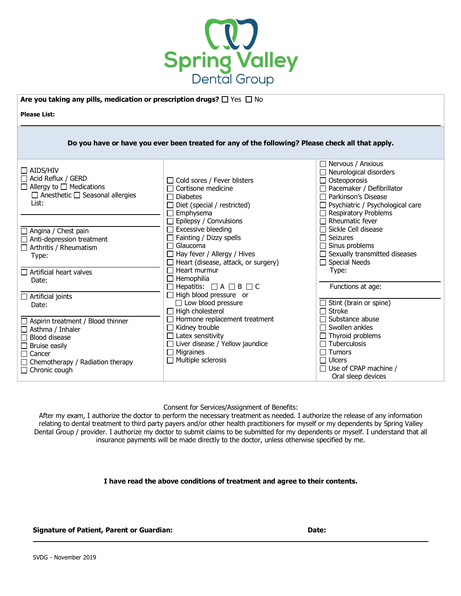

**Are you taking any pills, medication or prescription drugs?**  $\Box$  Yes  $\Box$  No

**Please List:** 

|                                                                                                                                                             | Do you have or have you ever been treated for any of the following? Please check all that apply.                                                                                                                           |                                                                                                                                                                                                                                                        |
|-------------------------------------------------------------------------------------------------------------------------------------------------------------|----------------------------------------------------------------------------------------------------------------------------------------------------------------------------------------------------------------------------|--------------------------------------------------------------------------------------------------------------------------------------------------------------------------------------------------------------------------------------------------------|
| $\Box$ AIDS/HIV<br>$\Box$ Acid Reflux / GERD<br>$\Box$ Allergy to $\Box$ Medications<br>$\Box$ Anesthetic $\Box$ Seasonal allergies<br>List:                | $\Box$ Cold sores / Fever blisters<br>$\Box$ Cortisone medicine<br>$\Box$ Diabetes<br>$\Box$ Diet (special / restricted)<br>$\Box$ Emphysema                                                                               | $\Box$ Nervous / Anxious<br>$\Box$ Neurological disorders<br>$\Box$ Osteoporosis<br>$\Box$ Pacemaker / Defibrillator<br>$\Box$ Parkinson's Disease<br>$\Box$ Psychiatric / Psychological care<br>$\Box$ Respiratory Problems<br>$\Box$ Rheumatic fever |
| $\Box$ Angina / Chest pain<br>$\Box$ Anti-depression treatment<br>$\Box$ Arthritis / Rheumatism<br>Type:<br>$\Box$ Artificial heart valves                  | $\Box$ Epilepsy / Convulsions<br>$\Box$ Excessive bleeding<br>$\Box$ Fainting / Dizzy spells<br>$\Box$ Glaucoma<br>$\Box$ Hay fever / Allergy / Hives<br>$\Box$ Heart (disease, attack, or surgery)<br>$\Box$ Heart murmur | $\Box$ Sickle Cell disease<br>$\Box$ Seizures<br>$\Box$ Sinus problems<br>$\Box$ Sexually transmitted diseases<br>$\Box$ Special Needs<br>Type:                                                                                                        |
| Date:<br>$\Box$ Artificial joints<br>Date:<br>$\Box$ Aspirin treatment / Blood thinner                                                                      | $\Box$ Hemophilia<br>$\Box$ Hepatitis: $\Box A \Box B \Box C$<br>$\Box$ High blood pressure or<br>$\Box$ Low blood pressure<br>$\Box$ High cholesterol<br>$\Box$ Hormone replacement treatment                             | Functions at age:<br>$\Box$ Stint (brain or spine)<br>$\Box$ Stroke<br>$\Box$ Substance abuse                                                                                                                                                          |
| $\Box$ Asthma / Inhaler<br>$\Box$ Blood disease<br>$\Box$ Bruise easily<br>$\Box$ Cancer<br>$\Box$ Chemotherapy / Radiation therapy<br>$\Box$ Chronic cough | $\Box$ Kidney trouble<br>$\Box$ Latex sensitivity<br>$\Box$ Liver disease / Yellow jaundice<br>$\Box$ Migraines<br>$\Box$ Multiple sclerosis                                                                               | $\Box$ Swollen ankles<br>$\Box$ Thyroid problems<br>$\Box$ Tuberculosis<br>$\Box$ Tumors<br>$\Box$ Ulcers<br>$\Box$ Use of CPAP machine /<br>Oral sleep devices                                                                                        |

Consent for Services/Assignment of Benefits:

After my exam, I authorize the doctor to perform the necessary treatment as needed. I authorize the release of any information relating to dental treatment to third party payers and/or other health practitioners for myself or my dependents by Spring Valley Dental Group / provider. I authorize my doctor to submit claims to be submitted for my dependents or myself. I understand that all insurance payments will be made directly to the doctor, unless otherwise specified by me.

**I have read the above conditions of treatment and agree to their contents.**

# **Signature of Patient, Parent or Guardian: Date:**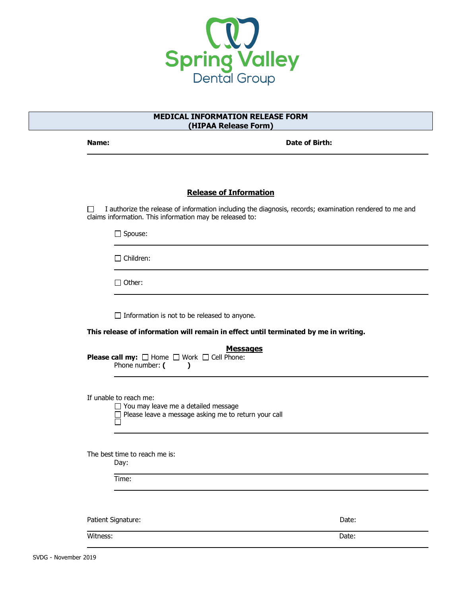

# **MEDICAL INFORMATION RELEASE FORM (HIPAA Release Form)**

**Name:** Date of Birth:

# **Release of Information**

 $\Box$  I authorize the release of information including the diagnosis, records; examination rendered to me and claims information. This information may be released to:

□ Spouse:

□ Children:

□ Other:

 $\Box$  Information is not to be released to anyone.

**This release of information will remain in effect until terminated by me in writing.**

| <b>Messages</b><br><b>Please call my:</b> $\Box$ Home $\Box$ Work $\Box$ Cell Phone:<br>Phone number: (                             |       |  |
|-------------------------------------------------------------------------------------------------------------------------------------|-------|--|
| If unable to reach me:<br>$\Box$ You may leave me a detailed message<br>$\Box$ Please leave a message asking me to return your call |       |  |
| The best time to reach me is:<br>Day:<br>Time:                                                                                      |       |  |
| Patient Signature:                                                                                                                  | Date: |  |
| Witness:                                                                                                                            | Date: |  |